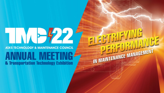# $\sqrt{4}$

#### **ATA'S TECHNOLOGY & MAINTENANCE COUNCIL** IUAL MEE & Transportation Technology Exhibition

IN MAINTENANCE MANAGEMENT

 $F_{\rm eff}$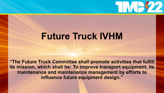## $111777$

### **Future Truck IVHM**

**"The Future Truck Committee shall promote activities that fulfill its mission, which shall be: To improve transport equipment, its maintenance and maintenance management by efforts to influence future equipment design."**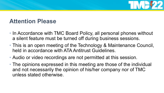

#### **Attention Please**

- In Accordance with TMC Board Policy, all personal phones without a silent feature must be turned off during business sessions.
- This is an open meeting of the Technology & Maintenance Council, held in accordance with ATA Antitrust Guidelines.
- Audio or video recordings are not permitted at this session.
- The opinions expressed in this meeting are those of the individual and not necessarily the opinion of his/her company nor of TMC unless stated otherwise.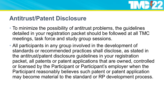

#### **Antitrust/Patent Disclosure**

- To minimize the possibility of antitrust problems, the guidelines detailed in your registration packet should be followed at all TMC meetings, task force and study group sessions.
- All participants in any group involved in the development of standards or recommended practices shall disclose, as stated in the antitrust/patent disclosure guidelines in your registration packet, all patents or patent applications that are owned, controlled or licensed by the Participant or Participant's employer when the Participant reasonably believes such patent or patent application may become material to the standard or RP development process.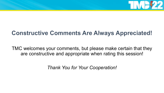

#### **Constructive Comments Are Always Appreciated!**

TMC welcomes your comments, but please make certain that they are constructive and appropriate when rating this session!

*Thank You for Your Cooperation!*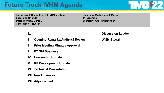#### **Future Truck IVHM Agenda**



**Future Truck Committee**: **FT IVHM Meeting Location: Orlando Date: Monday, March 7 Time: Noon – 1:00PM**

**Chairman: Wally Stegall, Morey 1st Vice Chair: Secretary: Andrew Brashear**

- **I. Opening Remarks/Antitrust Review Wally Stegall**
- **II. Prior Meeting Minutes Approval**
- **III. FT Old Business**
- **IV. Leadership Update**
- **V. RP Development Update**
- **VI. Technical Presentation**
- **VII. New Business**
- **VIII. Adjournment**

**Item Discussion Leader**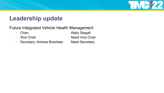

#### **Leadership update**

Future Integrated Vehicle Health Management

- 
- 
- Secretary: Andrew Brashear. Need Secretary

• Chair: Wally Stegall • Vice Chair **Need Vice Chair**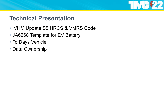

#### **Technical Presentation**

- IVHM Update S5 HRCS & VMRS Code
- JA6268 Template for EV Battery
- To Days Vehicle
- Data Ownership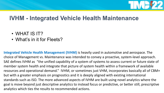

#### **IVHM - Integrated Vehicle Health Maintenance**

- WHAT IS IT?
- What's in it for Fleets?

**Integrated Vehicle Health Management (IVHM)** is heavily used in automotive and aerospace. The choice of Management vs. Maintenance was intended to convey a proactive, system-level approach. SAE defines IVHM as "the unified capability of a system of systems to assess current or future state of member system health and integrate that picture of system health within a framework of available resources and operational demand." IVHM, or sometimes just VHM, incorporates basically all of CBM+ but with a greater emphasis on prognostics and it is deeply aligned with existing international standards such as ISO. The more advanced aspects of IVHM are built using novel analytics where the goal is move beyond just descriptive analytics to instead focus or predictive, or better still, prescriptive analytics which ties the results to recommended actions.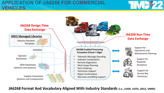#### **APPLICATION OF JA6268 FOR COMMERCIAL VEHICLES**





**JA6268 Format And Vocabulary Aligned With Industry Standards (i.e., J1939, J1979, J2012, VMRS)**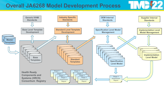#### **Overall JA6268 Model Development Process**

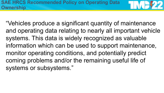"Vehicles produce a significant quantity of maintenance and operating data relating to nearly all important vehicle systems. This data is widely recognized as valuable information which can be used to support maintenance, monitor operating conditions, and potentially predict coming problems and/or the remaining useful life of systems or subsystems."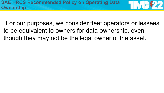"For our purposes, we consider fleet operators or lessees to be equivalent to owners for data ownership, even though they may not be the legal owner of the asset."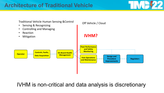

IVHM is non-critical and data analysis is discretionary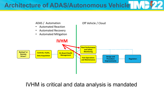**Architecture of ADAS/Autonomous Vehicle**



IVHM is critical and data analysis is mandated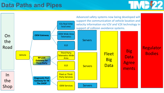#### **Data Paths and Pipes**



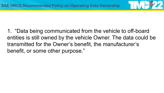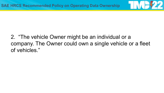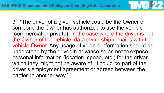

3. "The driver of a given vehicle could be the Owner or someone the Owner has authorized to use the vehicle (commercial or private). In the case where the driver is not the Owner of the vehicle, data ownership remains with the vehicle Owner. Any usage of vehicle information should be understood by the driver in advance so as not to expose personal information (location, speed, etc.) for the driver which they might not be aware of. It could be part of the driver's employment agreement or agreed between the parties in another way."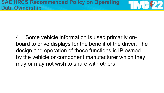4. "Some vehicle information is used primarily onboard to drive displays for the benefit of the driver. The design and operation of these functions is IP owned by the vehicle or component manufacturer which they may or may not wish to share with others."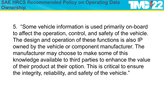5. "Some vehicle information is used primarily on-board to affect the operation, control, and safety of the vehicle. The design and operation of these functions is also IP owned by the vehicle or component manufacturer. The manufacturer may choose to make some of this knowledge available to third parties to enhance the value of their product at their option. This is critical to ensure the integrity, reliability, and safety of the vehicle."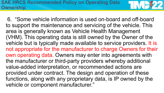6. "Some vehicle information is used on-board and off-board to support the maintenance and servicing of the vehicle. This area is generally known as Vehicle Health Management (VHM). This operating data is still owned by the Owner of the vehicle but is typically made available to service providers. It is not appropriate for the manufacturer to charge Owners for their own operating data. Owners may enter into agreements with the manufacturer or third-party providers whereby additional value-added interpretation, or recommended actions are provided under contract. The design and operation of these functions, along with any proprietary data, is IP owned by the vehicle or component manufacturer."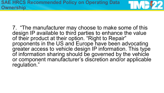7. "The manufacturer may choose to make some of this design IP available to third parties to enhance the value of their product at their option. "Right to Repair" proponents in the US and Europe have been advocating greater access to vehicle design IP information. This type of information sharing should be governed by the vehicle or component manufacturer's discretion and/or applicable regulation."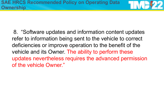8. "Software updates and information content updates refer to information being sent to the vehicle to correct deficiencies or improve operation to the benefit of the vehicle and its Owner. The ability to perform these updates nevertheless requires the advanced permission of the vehicle Owner."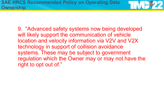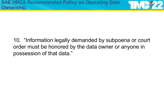#### 10. "Information legally demanded by subpoena or court order must be honored by the data owner or anyone in possession of that data."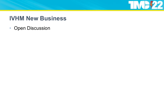

#### **IVHM New Business**

• Open Discussion